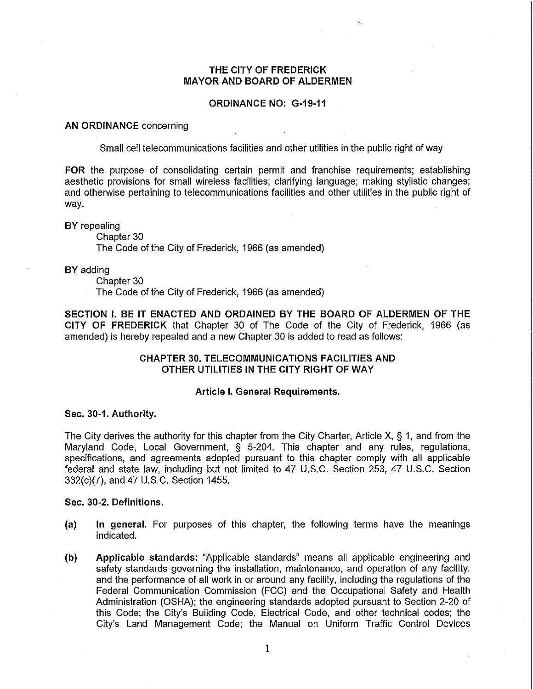# THE CITY OF FREDERICK MAYOR AND BOARD OF ALDERMEN

# ORDINANCE NO: G-19-11

### AN ORDINANCE concerning

Small cell telecommunications facilities and other utilities in the public right of way

FOR the purpose of consolidating certain permit and franchise requirements; establishing aesthetic provisions for small wireless facilities; clarifying language; making stylistic changes; and otherwise pertaining to telecommunications facilities and other utilities in the public right of way.

### BY repealing

Chapter 30

The Code of the City of Frederick, 1966 (as amended)

BY adding

Chapter 30

The Code of the City of Frederick, 1966 (as amended)

SECTION I. BE IT ENACTED AND ORDAINED BY THE BOARD OF ALDERMEN OF THE CITY OF FREDERICK that Chapter 30 of The Code of the City of Frederick, 1966 (as amended) is hereby repealed and a new Chapter 30 is added to read as follows:

# CHAPTER 30. TELECOMMUNICATIONS FACILITIES AND OTHER UTILITIES IN THE CITY RIGHT OF WAY

#### Article I. General Requirements.

### Sec. 30-1. Authority.

The City derives the authority for this chapter from the City Charter, Article X, § 1, and from the Maryland Code, Local Government, § 5-204. This chapter and any rules, regulations, specifications, and agreements adopted pursuant to this chapter comply with all applicable federal and state law, including but not limited to 47 U.S.C. Section 253, 47 U.S.C. Section 332(c)(7), and 47 U.S.C. Section 1455.

# Sec. 30-2. Definitions.

- (a) In general. For purposes of this chapter, the following terms have the meanings indicated.
- (b) Applicable standards: "Applicable standards" means all applicable engineering and safety standards governing the installation, maintenance, and operation of any facility, and the performance of all work in or around any facility, including the regulations of the Federal Communication Commission (FCC) and the Occupational Safety and Health Administration (OSHA); the engineering standards adopted pursuant to Section 2-20 of this Code; the City's Building Code, Electrical Code, and other technical codes; the City's Land Management Code; the Manual on Uniform Traffic Control Devices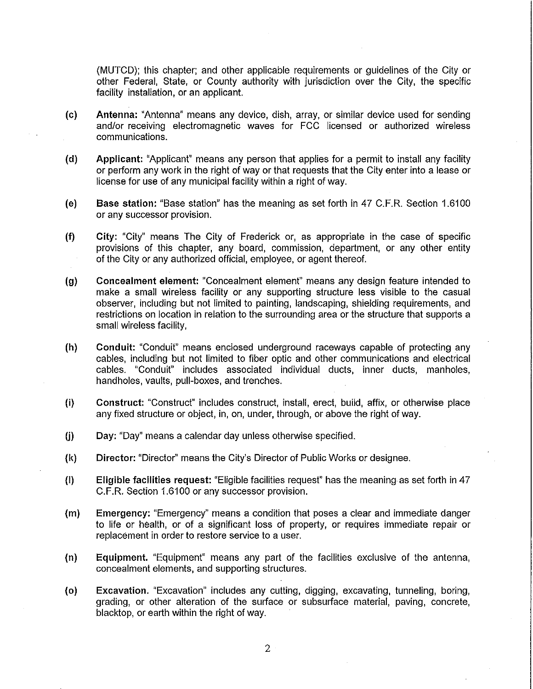(MUTCD); this chapter; and other applicable requirements or guidelines of the City or other Federal, State, or County authority with jurisdiction over the City, the specific facility installation, or an applicant.

- (c) Antenna: "Antenna" means any device, dish, array, or similar device used for sending and/or receiving electromagnetic waves for FCC licensed or authorized wireless communications.
- (d) Applicant: "Applicant" means any person that applies for a permit to install any facility or perform any work in the right of way or that requests that the City enter into a lease or license for use of any municipal facility within a right of way.
- (e) Base station: "Base station" has the meaning as set forth in 47 C.F.R. Section 1.6100 or any successor provision.
- (f) City: "City" means The City of Frederick or, as appropriate in the case of specific provisions of this chapter, any board, commission, department, or any other entity of the City or any authorized official, employee, or agent thereof.
- (g) Concealment element: "Concealment element" means any design feature intended to make a small wireless facility or any supporting structure less visible to the casual observer, including but not limited to painting, landscaping, shielding requirements, and restrictions on location in relation to the surrounding area or the structure that supports a small wireless facility,
- (h) Conduit: "Conduit" means enclosed underground raceways capable of protecting any cables, including but not limited to fiber optic and other communications and electrical cables. "Conduit" includes associated individual ducts, inner ducts, manholes, handholes, vaults, pull-boxes, and trenches.
- (i) Construct: "Construct" includes construct, install, erect, build, affix, or otherwise place any fixed structure or object, in, on, under, through, or above the right of way.
- $(j)$  Day: "Day" means a calendar day unless otherwise specified.
- (1<) Director: "Director" means the City's Director of Public Works or designee.
- (I) Eligible facilities request: "Eligible facilities request" has the meaning as set forth in 47 C.F.R. Section 1.6100 or any successor provision.
- (m) Emergency: "Emergency" means a condition that poses a clear and immediate danger to life or health, or of a significant loss of property, or requires immediate repair or replacement in order to restore service to a user.
- (n) Equipment. "Equipment" means any part of the facilities exclusive of the antenna, concealment elements, and supporting structures.
- (0) Excavation. "Excavation" includes any cutting, digging, excavating, tunneling, boring, grading, or other alteration of the surface or subsurface material, paving, concrete, blacktop, or earth within the right of way.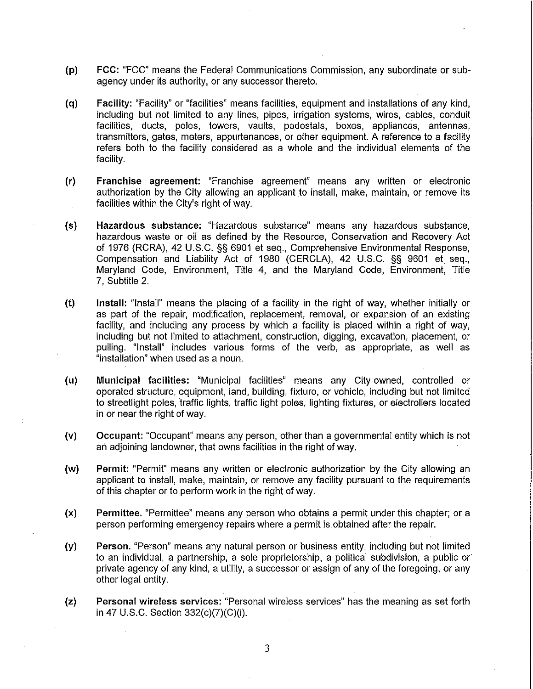- (p) FCC: "FCC" means the Federal Communications Commission, any subordinate or subagency under its authority, or any successor thereto.
- (q) Facility: "Facility" or "facilities" means facilities, equipment and installations of any kind, including but not limited to any lines, pipes, irrigation systems, wires, cables, conduit facilities, ducts, poles, towers, vaults, pedestals, boxes, appliances, antennas, transmitters, gates, meters, appurtenances, or other equipment. A reference to a facility refers both to the facility considered as a whole and the individual elements of the facility.
- (r) Franchise agreement: "Franchise agreement" means any written or electronic authorization by the City allowing an applicant to install, make, maintain, or remove its facilities within the City's right of way.
- (s) Hazardous substance: "Hazardous substance" means any hazardous substance, hazardous waste or oil as defined by the Resource, Conservation and Recovery Act of 1976 (RCRA), 42 U.S.C. §§ 6901 et seq., Comprehensive Environmental Response, Compensation and Liability Act of 1980 (CERCLA), 42 U.S.C. §§ 9601 et seq., Maryland Code, Environment, Title 4, and the Maryland Code, Environment, Title 7, Subtitle 2.
- (t) Install: "Install" means the placing of a facility in the right of way, whether initially or as part of the repair, modification, replacement, removal, or expansion of an existing facility, and including any process by which a facility is placed within a right of way, including but not limited to attachment, construction, digging, excavation, placement, or pulling. "Install" includes various forms of the verb, as appropriate, as well as "installation" when used as a noun.
- (u) Municipal facilities: "Municipal facilities" means any City-owned, controlled or operated structure, equipment, land, building, fixture, or vehicle, including but not limited to streetlight poles, traffic lights, traffic light poles, lighting fixtures, or electroliers located in or near the right of way.
- (v) Occupant: "Occupant" means any person, other than a governmental entity which is not an adjoining landowner, that owns facilities in the right of way.
- (w) Permit: "Permit" means any written or electronic authorization by the City allowing an applicant to install, make, maintain, or remove any facility pursuant to the requirements of this chapter or to perform work in the right of way.
- (x) Permittee. "Permittee" means any person who obtains a permit under this chapter; or a person performing emergency repairs where a permit is obtained after the repair.
- (y) Person. "Person" means any natural person or business entity, including but not limited to an individual, a partnership, a sole proprietorship, a political subdivision, a public or private agency of any kind, a utility, a successor or assign of any of the foregoing, or any other legal entity.
- (z) Personal wireless services: "Personal wireless services" has the meaning as set forth in 47 U.S.C. Section 332(c)(7)(C)(i).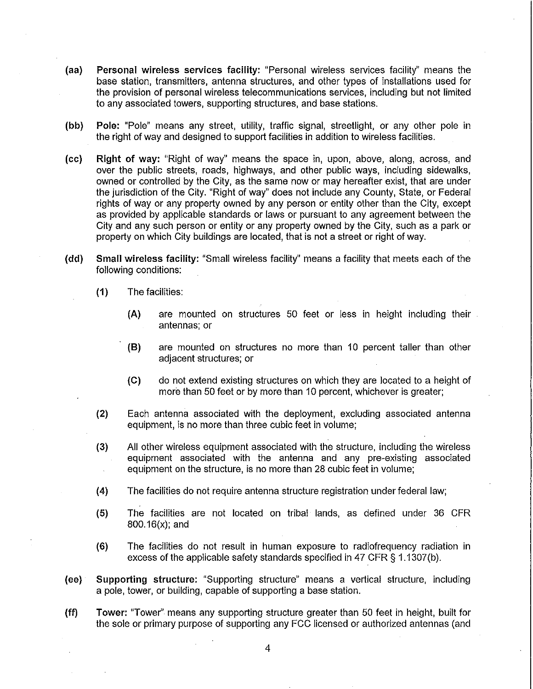- (aa) Personal wireless services facility: "Personal wireless services facility" means the base station, transmitters, antenna structures, and other types of installations used for the provision of personal wireless telecommunications services, including but not limited to any associated towers, supporting structures, and base stations.
- (bb) Pole: "Pole" means any street, utility, traffic signal, streetlight, or any other pole in the right of way and designed to support facilities in addition to wireless facilities.
- (cc) Right of way: "Right of way" means the space in, upon, above, along, across, and over the public streets, roads, highways, and other public ways, including sidewalks, owned or controlled by the City, as the same now or may hereafter exist, that are under the jurisdiction of the City. "Right of way" does not include any County, State, or Federal rights of way or any property owned by any person or entity other than the City, except as provided by applicable standards or laws or pursuant to any agreement between the City and any such person or entity or any property owned by the City, such as a park or property on which City buildings are located, that is not a street or right of way.
- (dd) Small wireless facility: "Small wireless facility" means a facility that meets each of the following conditions:
	- (1) The facilities:
		- (A) are mounted on structures 50 feet or less in height including their antennas; or
		- (8) are mounted on structures no more than 10 percent taller than other adjacent structures; or
		- (e) do not extend existing structures on which they are located to a height of more than 50 feet or by more than 10 percent, whichever is greater;
	- (2) Each antenna associated with the deployment, excluding associated antenna equipment, is no more than three cubic feet in volume;
	- (3) All other wireless equipment associated with the structure, including the wireless equipment associated with the antenna and any pre-existing associated equipment on the structure, is no more than 28 cubic feet in volume;
	- (4) The facilities do not require antenna structure registration under federal law;
	- (5) The facilities are not located on tribal lands, as defined under 36 CFR 800.16(x); and
	- (6) The facilities do not result in human exposure to radiofrequency radiation in excess of the applicable safety standards specified in 47 CFR § 1.1307(b).
- (ee) Supporting structure: "Supporting structure" means a vertical structure, including a pole, tower, or building, capable of supporting a base station.

(ff) Tower: "Tower" means any supporting structure greater than 50 feet in height, built for the sole or primary purpose of supporting any FCC licensed or authorized antennas (and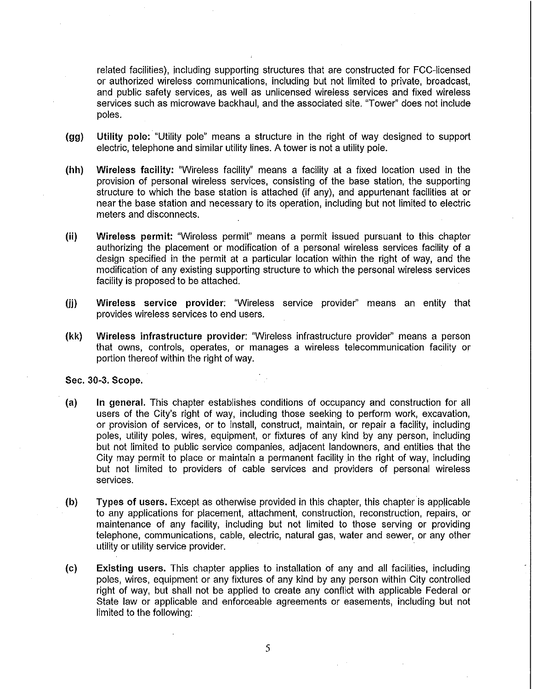related facilities), including supporting structures that are constructed for FCC-licensed or authorized wireless communications, including but not limited to private, broadcast, and public safety services, as well as unlicensed wireless services and fixed wireless services such as microwave backhaul, and the associated site. "Tower" does not include poles.

- (gg) Utility pole: "Utility pole" means a structure in the right of way designed to support electric, telephone and similar utility lines. A tower is not a utility pole.
- (hh) Wireless facility: "Wireless facility" means a facility at a fixed location used in the provision of personal wireless services, consisting of the base station, the supporting structure to which the base station is attached (if any), and appurtenant facilities at or near the base station and necessary to its operation, including but not limited to electric meters and disconnects.
- (ii) Wireless permit: "Wireless permit" means a permit issued pursuant to this chapter authorizing the placement or modification of a personal wireless services facility of a design specified in the permit at a particular location within the right of way, and the modification of any existing supporting structure to which the personal wireless services facility is proposed to be attached.
- (ii) Wireless service provider: "Wireless service provider" means an entity that provides wireless services to end users.
- (kk) Wireless infrastructure provider: "Wireless infrastructure provider" means a person that owns, controls, operates, or manages a wireless telecommunication facility or portion thereof within the right of way.

Sec. 30-3. Scope.

- (a) In general. This chapter establishes conditions of occupancy and construction for all users of the City's right of way, including those seeking to perform work, excavation, or provision of services, or to install, construct, maintain, or repair a facility, including poles, utility poles, wires, equipment, or fixtures of any kind by any person, including but not limited to public service companies, adjacent landowners, and entities that the City may permit to place or maintain a permanent facility in the right of way, including but not limited to providers of cable services and providers of personal wireless services.
- (b) Types of users. Except as otherwise provided in this chapter, this chapter is applicable to any applications for placement, attachment, construction, reconstruction, repairs, or maintenance of any facility, including but not limited to those serving or providing telephone, communications, cable, electric, natural gas, water and sewer, or any other utility or utility service provider.
- (c) Existing users. This chapter applies to installation of any and all facilities, including poles, wires, equipment or any fixtures of any kind by any person within City controlled right of way, but shall not be applied to create any conflict with applicable Federal or State law or applicable and enforceable agreements or easements, including but not limited to the following:

5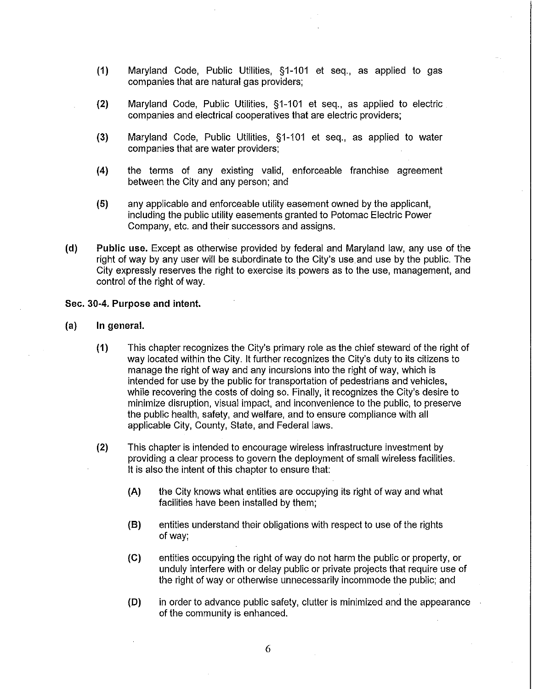- (1) Maryland Code, Public Utilities, §1-101 et seq., as applied to gas companies that are natural gas providers;
- (2) Maryland Code, Public Utilities, §1-101 et seq., as applied to electric companies and electrical cooperatives that are electric providers;
- (3) Maryland Code, Public Utilities, §1-101 et seq., as applied to water companies that are water providers;
- (4) the terms of any existing valid, enforceable franchise agreement between the City and any person; and
- (5) any applicable and enforceable utility easement owned by the applicant, including the public utility easements granted to Potomac Electric Power Company, etc. and their successors and assigns.
- (d) Public use. Except as otherwise provided by federal and Maryland law, any use of the right of way by any user will be subordinate to the City's use and use by the public. The City expressly reserves the right to exercise its powers as to the use, management, and control of the right of way.

### Sec. 30-4. Purpose and intent.

- (a) In general.
	- (1) This chapter recognizes the City's primary role as the chief steward of the right of way located within the City. It further recognizes the City's duty to its citizens to manage the right of way and any incursions into the right of way, which is intended for use by the public for transportation of pedestrians and vehicles, while recovering the costs of doing so. Finally, it recognizes the City's desire to minimize disruption, visual impact, and inconvenience to the public, to preserve the public health, safety, and welfare, and to ensure compliance with all applicable City, County, State, and Federal laws.
	- (2) This chapter is intended to encourage wireless infrastructure investment by providing a clear process to govern the deployment of small wireless facilities. It is also the intent of this chapter to ensure that:
		- (A) the City knows what entities are occupying its right of way and what facilities have been installed by them;
		- (8) entities understand their obligations with respect to use of the rights of way;
		- (e) entities occupying the right of way do not harm the public or property, or unduly interfere with or delay public or private projects that require use of the right of way or otherwise unnecessarily incommode the public; and
		- (D) in order to advance public safety, clutter is minimized and the appearance of the community is enhanced.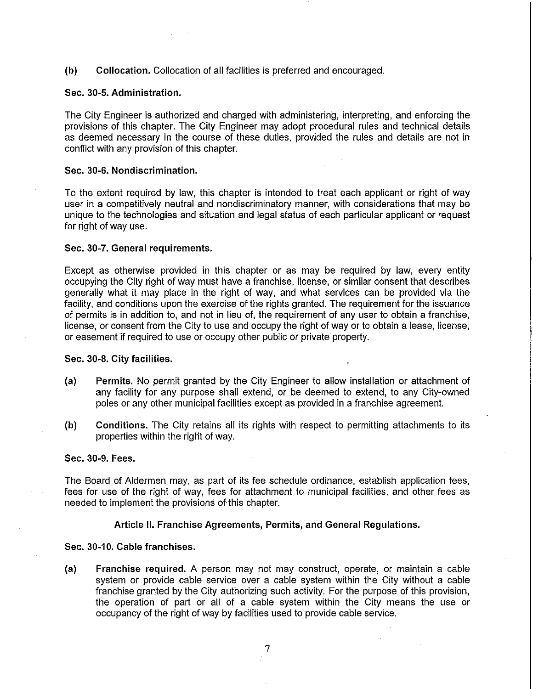(b) Collocation. Collocation of all facilities is preferred and encouraged.

# Sec. 30-5. Administration.

The City Engineer is authorized and charged with administering, interpreting, and enforcing the provisions of this chapter. The City Engineer may adopt procedural rules and technical details as deemed necessary in the course of these duties, provided the rules and details are not in conflict with any provision of this chapter.

### Sec. 30-6. Nondiscrimination.

To the extent required by law, this chapter is intended to treat each applicant or right of way user in a competitively neutral and nondiscriminatory manner, with considerations that may be unique to the technologies and situation and legal status of each particular applicant or request for right of way use.

### Sec. 30-7. General requirements.

Except as otherwise provided in this chapter or as may be required by law, every entity occupying the City right of way must have a franchise, license, or similar consent that describes generally what it may place in the right of way, and what services can be provided via the facility, and conditions upon the exercise of the rights granted. The requirement for the issuance of permits is in addition to, and not in lieu of, the requirement of any user to obtain a franchise, license, or consent from the City to use and occupy the right of way or to obtain a lease, license, or easement if required to use or occupy other public or private property.

### Sec. 30-8. City facilities.

- (a) Permits. No permit granted by the City Engineer to allow installation or attachment of any facility for any purpose shall extend, or be deemed to extend, to any City-owned poles or any other municipal facilities except as provided in a franchise agreement.
- (b) Conditions. The City retains all its rights with respect to permitting attachments to its properties within the right of way.

### Sec. 30-9. Fees.

The Board of Aldermen may, as part of its fee schedule ordinance, establish application fees, fees for use of the right of way, fees for attachment to municipal facilities, and other fees as needed to implement the provisions of this chapter.

# Article II. Franchise Agreements, Permits, and General Regulations.

### Sec. 30-10. Cable franchises.

(a) Franchise required. A person may not may construct, operate, or maintain a cable system or provide cable service over a cable system within the City without a cable franchise granted by the City authorizing such activity. For the purpose of this provision, the operation of part or all of a cable system within the City means the use or occupancy of the right of way by facilities used to provide cable service.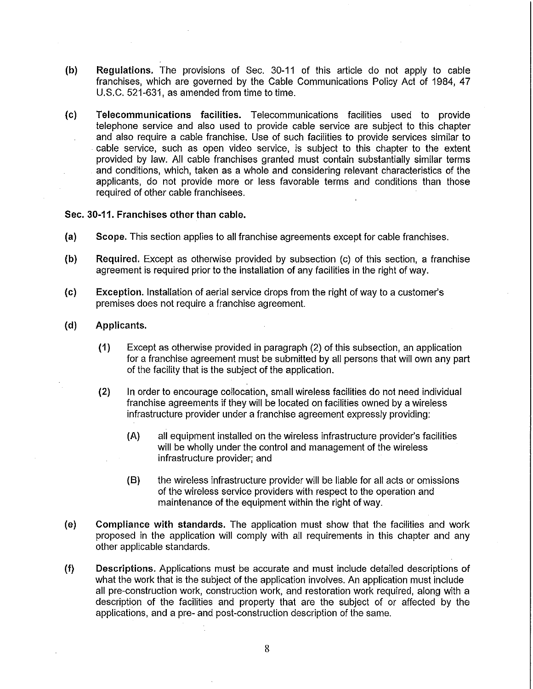- (b) Regulations. The provisions of Sec. 30-11 of this article do not apply to cable franchises, which are governed by the Cable Communications Policy Act of 1984, 47 U.S.C. 521-631, as amended from time to time.
- (c) Telecommunications facilities. Telecommunications facilities used to provide telephone service and also used to provide cable service are subject to this chapter and also require a cable franchise. Use of such facilities to provide services similar to cable service, such as open video service, is subject to this chapter to the extent provided by law. All cable franchises granted must contain substantially similar terms and conditions, which, taken as a whole and considering relevant characteristics of the applicants, do not provide more or less favorable terms and conditions than those required of other cable franchisees.

# Sec. 30-11. Franchises other than cable.

- (a) Scope. This section applies to all franchise agreements except for cable franchises.
- (b) Required. Except as otherwise provided by subsection (c) of this section, a franchise agreement is required prior to the installation of any facilities in the right of way.
- (c) Exception. Installation of aerial service drops from the right of way to a customer's premises does not require a franchise agreement.
- (d) Applicants.
	- (1) Except as otherwise provided in paragraph (2) of this subsection, an application for a franchise agreement must be submitted by all persons that will own any part of the facility that is the subject of the application.
	- (2) In order to encourage collocation, small wireless facilities do not need individual franchise agreements if they will be located on facilities owned by a wireless infrastructure provider under a franchise agreement expressly providing:
		- (A) all equipment installed on the wireless infrastructure provider's facilities will be wholly under the control and management of the wireless infrastructure provider; and
		- (8) the wireless infrastructure provider will be liable for all acts or omissions of the wireless service providers with respect to the operation and maintenance of the equipment within the right of way.
- (e) Compliance with standards. The application must show that the facilities and work proposed in the application will comply with all requirements in this chapter and any other applicable standards.
- (f) Descriptions. Applications must be accurate and must include detailed descriptions of what the work that is the subject of the application involves. An application must include all pre-construction work, construction work, and restoration work required, along with a description of the facilities and property that are the subject of or affected by the applications, and a pre- and post-construction description of the same.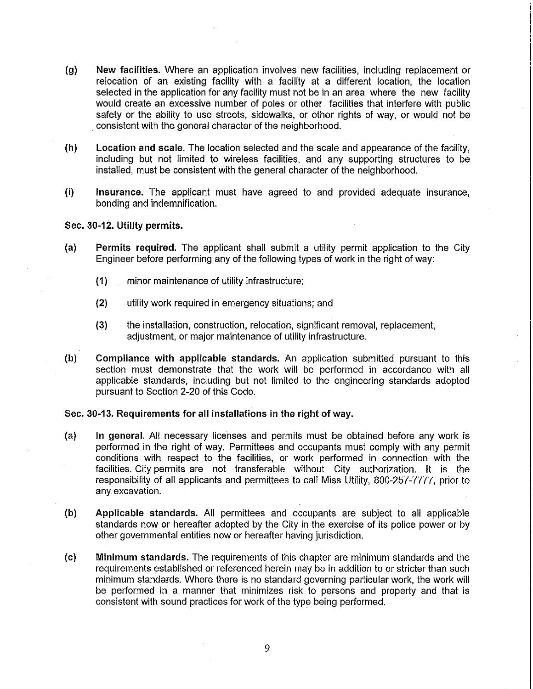- (g) New facilities. Where an application involves new facilities, including replacement or relocation of an existing facility with a facility at a different location, the location selected in the application for any facility must not be in an area where the new facility would create an excessive number of poles or other facilities that interfere with public safety or the ability to use streets, sidewalks, or other rights of way, or would not be consistent with the general character of the neighborhood.
- (h) Location and scale. The location selected and the scale and appearance of the facility, including but not limited to wireless facilities, and any supporting structures to be installed, must be consistent with the general character of the neighborhood.
- (i) Insurance. The applicant must have agreed to and provided adequate insurance, bonding and indemnification.

# Sec. 30-12. Utility permits.

- (a) Permits required. The applicant shall submit a utility permit application to the City Engineer before performing any of the following types of work in the right of way:
	- (1) minor maintenance of utility infrastructure;
	- (2) utility work required in emergency situations; and
	- (3) the installation, construction, relocation, significant removal, replacement, adjustment, or major maintenance of utility infrastructure.
- (b) Compliance with applicable standards. An application submitted pursuant to this section must demonstrate that the work will be performed in accordance with all applicable standards, including but not limited to the engineering standards adopted pursuant to Section 2-20 of this Code.

# Sec. 30-13. Requirements for all installations in the right of way.

- (a) In general. All necessary licenses and permits must be obtained before any work is performed in the right of way. Permittees and occupants must comply with any permit conditions with respect to the facilities, or work performed in connection with the facilities. City permits are not transferable without City authorization. It is the responsibility of all applicants and permittees to call Miss Utility, 800-257-7777, prior to any. excavation.
- (b) Applicable standards. All permittees and occupants are subject to all applicable standards now or hereafter adopted by the City in the exercise of its police power or by other governmental entities now or hereafter having jurisdiction.
- (c) Minimum standards. The requirements of this chapter are minimum standards and the requirements established or referenced herein may be in addition to or stricter than such minimum standards. Where there is no standard governing particular work, the work will be performed in a manner that minimizes risk to persons and property and that is consistent with sound practices for work of the type being performed.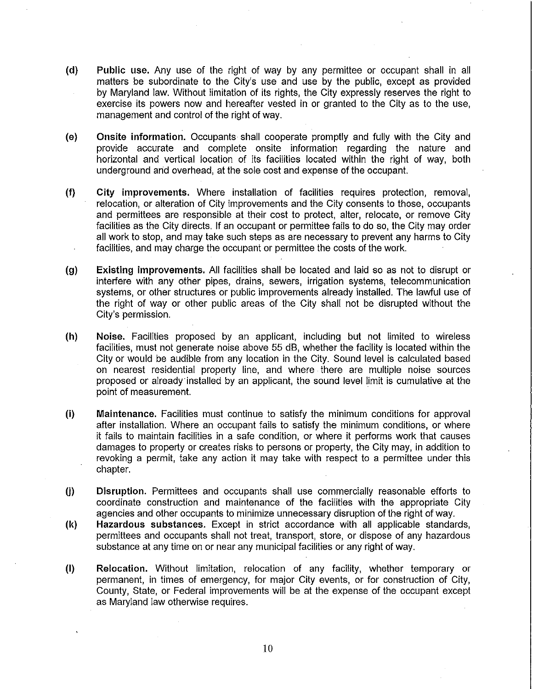- (d) Public use. Any use of the right of way by any permittee or occupant shall in all matters be subordinate to the City's use and use by the public, except as provided by Maryland law. Without limitation of its rights, the City expressly reserves the right to exercise its powers now and hereafter vested in or granted to the City as to the use, management and control of the right of way.
- (e) Onsite information. Occupants shall cooperate promptly and fully with the City and provide accurate and complete on site information regarding the nature and horizontal and vertical location of its facilities located within the right of way, both underground and overhead, at the sole cost and expense of the occupant.
- (f) City improvements. Where installation of facilities requires protection, removal, relocation, or alteration of City improvements and the City consents to those, occupants and permittees are responsible at their cost to protect, alter, relocate, or remove City facilities as the City directs. If an occupant or permittee fails to do so, the City may order all work to stop, and may take such steps as are necessary to prevent any harms to City facilities, and may charge the occupant or permittee the costs of the work.
- (g) Existing improvements. All facilities shall be located and laid so as not to disrupt or interfere with any other pipes, drains, sewers, irrigation systems, telecommunication systems, or other structures or public improvements already installed. The lawful use of the right of way or other public areas of the City shall not be disrupted without the City's permission.
- (h) Noise. Facilities proposed by an applicant, including but not limited to wireless facilities, must not generate noise above 55 dB, whether the facility is located within the City or would be audible from any location in the City. Sound level is calculated based on nearest residential property line, and where there are multiple noise sources proposed or already'installed by an applicant, the sound level limit is cumulative at the point of measurement.
- (i) Maintenance. Facilities must continue to satisfy the minimum conditions for approval after installation. Where an occupant fails to satisfy the minimum conditions, or where it fails to maintain facilities in a safe condition, or where it performs work that causes damages to property or creates risks to persons or property, the City may, in addition to revoking a permit, take any action it may take with respect to a permittee under this chapter.
- U) Disruption. Permittees and occupants shall use commercially reasonable efforts to coordinate construction and maintenance of the facilities with the appropriate City agencies and other occupants to minimize unnecessary disruption of the right of way.
- (k) Hazardous substances. Except in strict accordance with all applicable standards, permittees and occupants shall not treat, transport, store, or dispose of any hazardous substance at any time on or near any municipal facilities or any right of way.
- (I) Relocation. Without limitation, relocation of any facility, whether temporary or permanent, in times of emergency, for major City events, or for construction of City, County, State, or Federal improvements will be at the expense of the occupant except as Maryland law otherwise requires.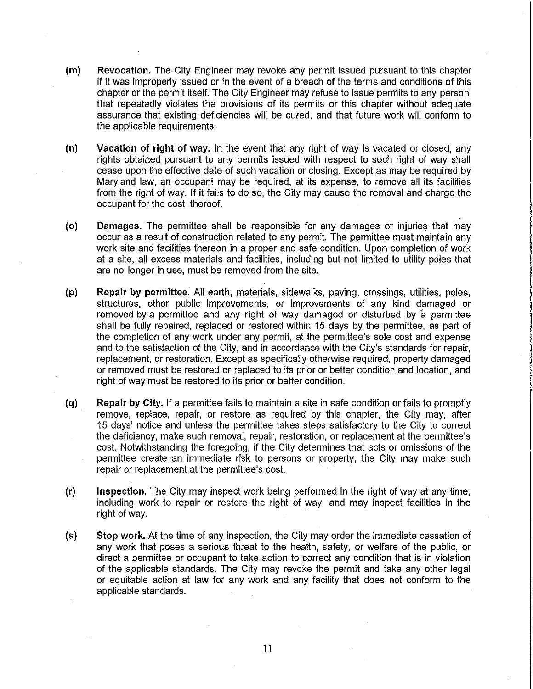- (m) Revocation. The City Engineer may revoke any permit issued pursuant to this chapter if it was improperly issued or in the event of a breach of the terms and conditions of this chapter or the permit itself. The City Engineer may refuse to issue permits to any person that repeatedly violates the provisions of its permits or this chapter without adequate assurance that existing deficiencies will be cured, and that future work will conform to the applicable requirements.
- (n) Vacation of right of way. In the event that any right of way is vacated or closed, any rights obtained pursuant to any permits issued with respect to such right of way shall cease upon the effective date of such vacation or closing. Except as may be required by Maryland law, an occupant may be required, at its expense, to remove all its facilities from the right of way. If it fails to do so, the City may cause the removal and charge the occupant for the cost thereof.
- (0) Damages. The permittee shall be responsible for any damages or injuries that may occur as a result of construction related to any permit. The permittee must maintain any work site and facilities thereon in a proper and safe condition. Upon completion of work at a site, all excess materials and facilities, including but not limited to utility poles that are no longer in use, must be removed from the site.
- (p) Repair by permittee. All earth, materials, sidewalks, paving, crossings, utilities, poles, structures, other public improvements, or improvements of any kind damaged or removed by a permittee and any right of way damaged or disturbed by a permittee shall be fully repaired, replaced or restored within 15 days by the permittee, as part of the completion of any work under any permit, at the permittee's sole cost and expense and to the satisfaction of the City, and in accordance with the City's standards for repair, replacement, or restoration. Except as specifically otherwise required, property damaged or removed must be restored or replaced to its prior or better condition and location, and right of way must be restored to its prior or better condition.
- (q) Repair by City. If a permittee fails to maintain a site in safe condition or fails to promptly remove, replace, repair, or restore as required by this chapter, the City may, after 15 days' notice and unless the permittee takes steps satisfactory to the City to correct the deficiency, make such removal, repair, restoration, or replacement at the permittee's cost. Notwithstanding the foregoing, if the City determines that acts or omissions of the permittee create an immediate risk to persons or property, the City may make such repair or replacement at the permittee's cost.
- (r) Inspection. The City may inspect work being performed in the right of way at any time, including work to repair or restore the right of way, and may inspect facilities in the right of way.
- (5) Stop work. At the time of any inspection, the City may order the immediate cessation of any work that poses a serious threat to the health, safety, or welfare of the public, or direct a permittee or occupant to take action to correct any condition that is in violation of the applicable standards. The City may revoke the permit and take any other legal or equitable action at law for any work and any facility that does not conform to the applicable standards.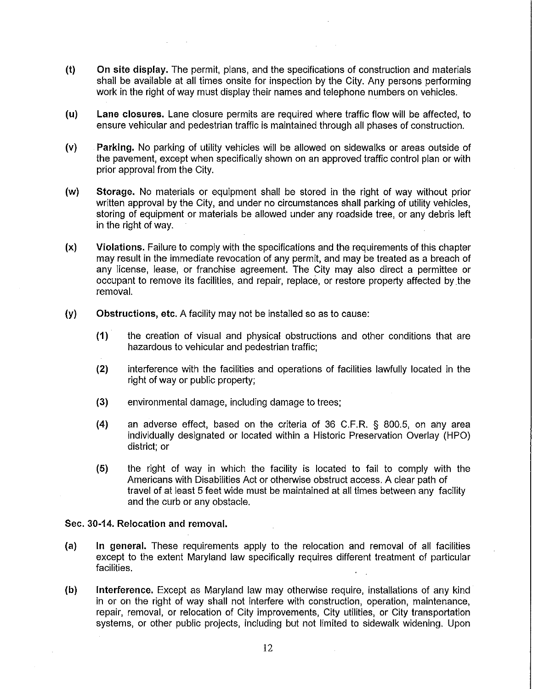- (t) On site display. The permit, plans, and the specifications of construction and materials shall be available at all times onsite for inspection by the City. Any persons performing work in the right of way must display their names and telephone numbers on vehicles.
- (u) Lane closures. Lane closure permits are required where traffic flow will be affected, to ensure vehicular and pedestrian traffic is maintained through all phases of construction.
- (v) Parking. No parking of utility vehicles will be allowed on sidewalks or areas outside of the pavement, except when specifically shown on an approved traffic control plan or with prior approval from the City.
- (w) Storage. No materials or equipment shall be stored in the right of way without prior written approval by the City, and under no circumstances shall parking of utility vehicles, storing of equipment or materials be allowed under any roadside tree, or any debris left in the right of way.
- (x) Violations. Failure to comply with the specifications and the requirements of this chapter may result in the immediate revocation of any permit, and may be treated as a breach of any license, lease, or franchise agreement. The City may also direct a permittee or occupant to remove its facilities, and repair, replace, or restore property affected by the removal.
- (y) Obstructions, etc. A facility may not be installed so as to cause:
	- (1) the creation of visual and physical obstructions and other conditions that are hazardous to vehicular and pedestrian traffic;
	- (2) interference with the facilities and operations of facilities lawfully located in the right of way or public property;
	- (3) environmental damage, including damage to trees;
	- (4) an adverse effect, based on the criteria of 36 C.F.R. § 800.5, on any area individually designated or located within a Historic Preservation Overlay (HPO) district; or
	- (5) the right of way in which the facility is located to fail to comply with the Americans with Disabilities Act or otherwise obstruct access. A clear path of travel of at least 5 feet wide must be maintained at all times between any facility and the curb or any obstacle.

# Sec. 30-14. Relocation and removal.

- (a) In general. These requirements apply to the relocation and removal of all facilities except to the extent Maryland law specifically requires different treatment of particular facilities.
- (b) Interference. Except as Maryland law may otherwise require, installations of any kind in or on the right of way shall not interfere with construction, operation, maintenance, repair, removal, or relocation of City improvements, City utilities, or City transportation systems, or other public projects, including but not limited to sidewalk widening. Upon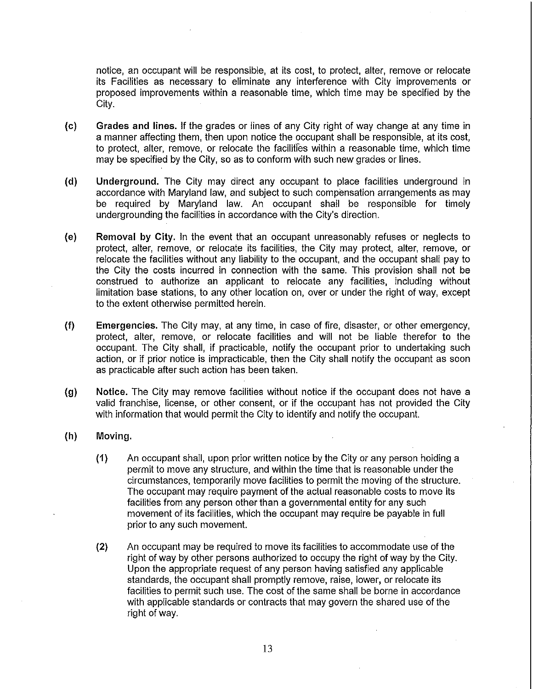notice, an occupant will be responsible, at its cost, to protect, alter, remove or relocate its Facilities as necessary to eliminate any interference with City improvements or proposed improvements within a reasonable time, which time may be specified by the City.

- (c) Grades and lines. If the grades or lines of any City right of way change at any time in a manner affecting them, then upon notice the occupant shall be responsible, at its cost, to protect, alter, remove, or relocate the facilities within a reasonable time, which time may be specified by the City, so as to conform with such new grades or lines.
- (d) Underground. The City may direct any occupant to place facilities underground in accordance with Maryland law, and subject to such compensation arrangements as may be required by Maryland law. An occupant shall be responsible for timely undergrounding the facilities in accordance with the City's direction.
- (e) Removal by City. In the event that an occupant unreasonably refuses or neglects to protect, alter, remove, or relocate its facilities, the City may protect, alter, remove, or relocate the facilities without any liability to the occupant, and the occupant shall pay to the City the costs incurred in connection with the same. This provision shall not be construed to authorize an applicant to relocate any facilities, including without limitation base stations, to any other location on, over or under the right of way, except to the extent otherwise permitted herein.
- (f) Emergencies. The City may, at any time, in case of fire, disaster, or other emergency, protect, alter, remove, or relocate facilities and will not be liable therefor to the occupant. The City shall, if practicable, notify the occupant prior to undertaking such action, or if prior notice is impracticable, then the City shall notify the occupant as soon as practicable after such action has been taken.
- (g) Notice. The City may remove facilities without notice if the occupant does not have a valid franchise, license, or other consent, or if the occupant has not provided the City with information that would permit the City to identify and notify the occupant.
- (h) Moving.
	- (1) An occupant shall, upon prior written notice by the City or any person holding a permit to move any structure, and within the time that is reasonable under the circumstances, temporarily move facilities to permit the moving of the structure. The occupant may require payment of the actual reasonable costs to move its facilities from any person other than a governmental entity for any such movement of its facilities, which the occupant may require be payable in full prior to any such movement.
	- (2) An occupant may be required to move its facilities to accommodate use of the right of way by other persons authorized to occupy the right of way by the City. Upon the appropriate request of any person having satisfied any applicable standards, the occupant shall promptly remove, raise, lower, or relocate its facilities to permit such use. The cost of the same shall be borne in accordance with applicable standards or contracts that may govern the shared use of the right of way.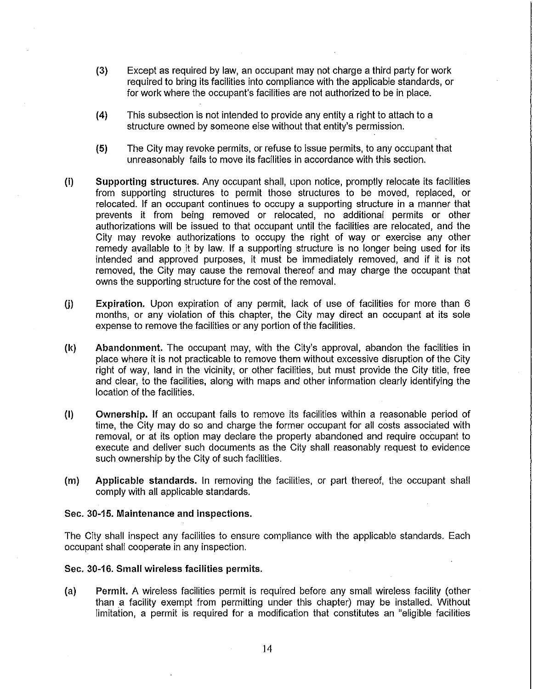- (3) Except as required by law, an occupant may not charge a third party for work required to bring its facilities into compliance with the applicable standards, or for work where the occupant's facilities are not authorized to be in place.
- (4) This subsection is not intended to provide any entity a right to attach to a structure owned by someone else without that entity's permission.
- (5) The City may revoke permits, or refuse to issue permits, to any occupant that unreasonably fails to move its facilities in accordance with this section.
- (i) Supporting structures. Any occupant shall, upon notice, promptly relocate its facilities from supporting structures to permit those structures to be moved, replaced, or relocated. If an occupant continues to occupy a supporting structure in a manner that prevents it from being removed or relocated, no additional permits or other authorizations will be issued to that occupant until the facilities are relocated, and the City may revoke authorizations to occupy the right of way or exercise any other remedy available to it by law. If a supporting structure is no longer being used for its intended and approved purposes, it must be immediately removed, and if it is not removed, the City may cause the removal thereof and may charge the occupant that owns the supporting structure for the cost of the removal.
- (i) Expiration. Upon expiration of any permit, lack of use of facilities for more than 6 months, or any violation of this chapter, the City may direct an occupant at its sole expense to remove the facilities or any portion of the facilities.
- (1<) Abandonment. The occupant may, with the City's approval, abandon the facilities in place where it is not practicable to remove them without excessive disruption of the City right of way, land in the vicinity, or other facilities, but must provide the City titie, free and clear, to the facilities, along with maps and other information clearly identifying the location of the facilities.
- (I) Ownership. If an occupant fails to remove its facilities within a reasonable period of time, the City may do so and charge the former occupant for all costs associated with removal, or at its option may declare the property abandoned and require occupant to execute and deliver such documents as the City shall reasonably request to evidence such ownership by the City of such facilities.
- (m) Applicable standards. In removing the facilities, or part thereof, the occupant shall comply with all applicable standards.

# Sec. 30-15. Maintenance and inspections.

The City shall inspect any facilities to ensure compliance with the applicable standards. Each occupant shall cooperate in any inspection.

### Sec. 30-16. Small wireless facilities permits.

(a) Permit. A wireless facilities permit is required before any small wireless facility (other than a facility exempt from permitting under this chapter) may be installed. Without limitation, a permit is required for a modification that constitutes an "eligible facilities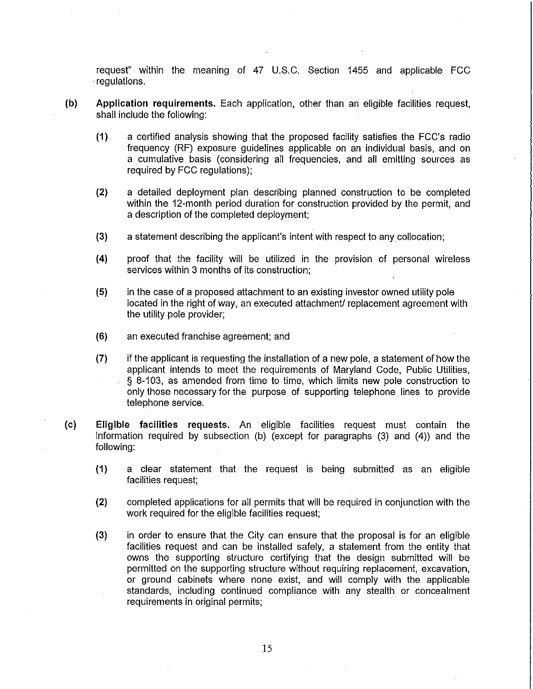request" within the meaning of 47 U.S.C. Section 1455 and applicable FCC . regulations.

- (b) Application requirements. Each application, other than an eligible facilities request, shall include the following:
	- (1) a certified analysis showing that the proposed facility satisfies the FCC's radio frequency (RF) exposure guidelines applicable on an individual basis, and on a cumulative basis (considering all frequencies, and all emitting sources as required by FCC regulations);
	- (2) a detailed deployment plan describing planned construction to be completed within the 12-month period duration for construction provided by the permit, and a description of the completed deployment;
	- (3) a statement describing the applicant's intent with respect to any collocation;
	- (4) proof that the facility will be utilized in the provision of personal wireless services within 3 months of its construction;
	- (5) in the case of a proposed attachment to an existing investor owned utility pole located in the right of way, an executed attachment/ replacement agreement with the utility pole provider;
	- (6) an executed franchise agreement; and
	- (7) if the applicant is requesting the installation of a new pole, a statement of how the applicant intends to meet the requirements of Maryland Code, Public Utilities, § 8-103, as amended from time to time, which limits new pole construction to only those necessary for the purpose of supporting telephone lines to provide telephone service.
- (c) Eligible facilities requests. An eligible facilities request must contain the information required by subsection (b) (except for paragraphs  $(3)$  and  $(4)$ ) and the following:
	- (1) a clear statement that the request is being submitted as an eligible facilities request;
	- (2) completed applications for all permits that will be required in conjunction with the work required for the eligible facilities request;
	- (3) in order to ensure that the City can ensure that the proposal is for an eligible facilities request and can be installed safely, a statement from the entity that owns the supporting structure certifying that the design submitted will be permitted on the supporting structure without requiring replacement, excavation, or ground cabinets where none exist, and will comply with the applicable standards, including continued compliance with any stealth or concealment requirements in original permits;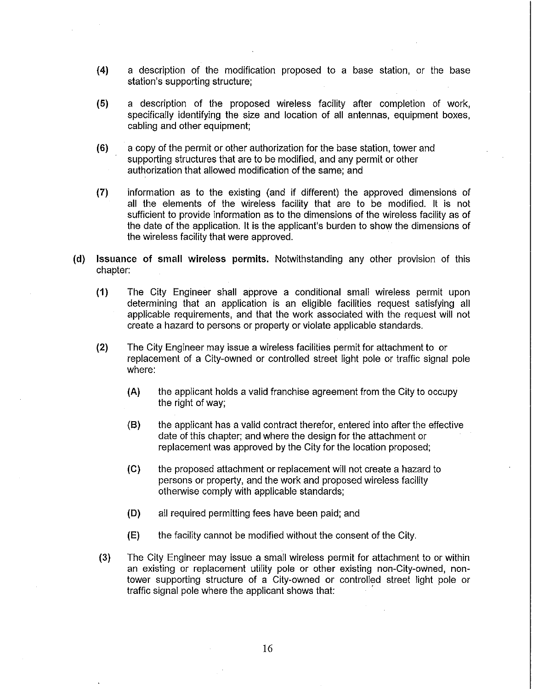- (4) a description of the modification proposed to a base station, or the base station's supporting structure;
- (5) a description of the proposed wireless facility after completion of work, specifically identifying the size and location of all antennas, equipment boxes, cabling and other equipment;
- (6) a copy of the permit or other authorization for the base station, tower and supporting structures that are to be modified, and any permit or other authorization that allowed modification of the same; and
- (7) information as to the existing (and if different) the approved dimensions of all the elements of the wireless facility that are to be modified. It is not sufficient to provide information as to the dimensions of the wireless facility as of the date of the application. It is the applicant's burden to show the dimensions of the wireless facility that were approved.
- (d) Issuance of small wireless permits. Notwithstanding any other provision of this chapter:
	- (1) The City Engineer shall approve a conditional small wireless permit upon determining that an application is an eligible facilities request satisfying all applicable requirements, and that the work associated with the request will not create a hazard to persons or property or violate applicable standards.
	- (2) The City Engineer may issue a wireless facilities permit for attachment to or replacement of a City-owned or controlled street light pole or traffic signal pole where:
		- (A) the applicant holds a valid franchise agreement from the City to occupy the right of way;
		- (8) the applicant has a valid contract therefor, entered into after the effective date of this chapter; and where the design for the attachment or replacement was approved by the City for the location proposed;
		- (e) the proposed attachment or replacement will not create a hazard to persons or property, and the work and proposed wireless facility otherwise comply with applicable standards;
		- (D) all required permitting fees have been paid; and
		- (E) the facility cannot be modified without the consent of the City.
	- (3) The City Engineer may issue a small wireless permit for attachment to or within an existing or replacement utility pole or other existing non-City-oWned, nontower supporting structure of a City-owned or controlled street light pole or traffic signal pole where the applicant shows that: .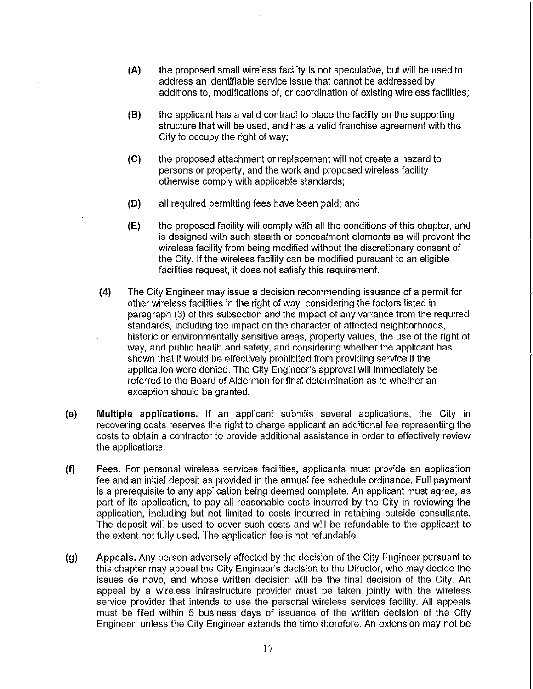- (A) the proposed small wireless facility is not speculative, but will be used to address an identifiable service issue that cannot be addressed by additions to, modifications of, or coordination of existing wireless facilities;
- (8) the applicant has a valid contract to place the facility on the supporting structure that will be used, and has a valid franchise agreement with the City to occupy the right of way;
- (e) the proposed attachment or replacement will not create a hazard to persons or property, and the work and proposed wireless facility otherwise comply with applicable standards;
- (D) all required permitting fees have been paid; and
- (E) the proposed facility will comply with all the conditions of this chapter, and is designed with such stealth or concealment elements as will prevent the wireless facility from being modified without the discretionary consent of the City. If the wireless facility can be modified pursuant to an eligible facilities request, it does not satisfy this requirement.
- (4) The City Engineer may issue a decision recommending issuance of a permit for other wireless facilities in the right of way, considering the factors listed in paragraph (3) of this subsection and the impact of any variance from the required standards, including the impact on the character of affected neighborhoods, historic or environmentally sensitive areas, property values, the use of the right of way, and public health and safety, and considering whether the applicant has shown that it would be effectively prohibited from providing service if the application were denied. The City Engineer's approval will immediately be referred to the Board of Aldermen for final determination as to whether an exception should be granted.
- (e) Multiple applications. If an applicant submits several applications, the City in recovering costs reserves the right to charge applicant an additional fee representing the costs to obtain a contractor to provide additional assistance in order to effectively review the applications.
- (f) Fees. For personal wireless services facilities, applicants must provide an application fee and an initial deposit as provided in the annual fee schedule ordinance. Full payment is a prerequisite to any application being deemed complete. An applicant must agree, as part of its application, to pay all reasonable costs incurred by the City in reviewing the application, including but not limited to costs incurred in retaining outside consultants. The deposit will be used to cover such costs and will be refundable to the applicant to the extent not fully used. The application fee is not refundable.
- (g) Appeals. Any person adversely affected by the decision of the City Engineer pursuant to this chapter may appeal the City Engineer's decision to the Director, who may decide the issues de novo, and whose written decision will be the final decision of the City. An appeal by a wireless infrastructure provider must be taken jointly with the wireless service provider that intends to use the personal wireless services facility. All appeals must be filed within 5 business days of issuance of the written decision of the City Engineer, unless the City Engineer extends the time therefore. An extension may not be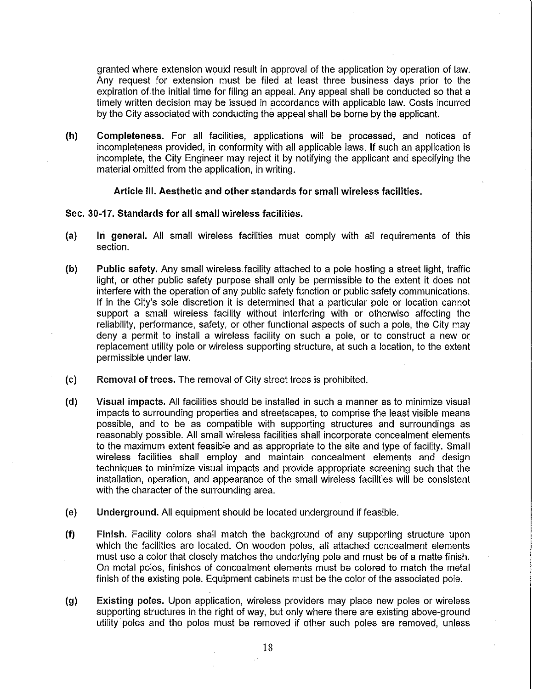granted where extension would result in approval of the application by operation of law. Any request for extension must be filed at least three business days prior to the expiration of the initial time for filing an appeal. Any appeal shall be conducted so that a timely written decision may be issued in accordance with applicable law. Costs incurred by the City associated with conducting the appeal shall be borne by the applicant.

(h) Completeness. For all facilities, applications will be processed, and notices of incompleteness provided, in conformity with all applicable laws. If such an application is incomplete, the City Engineer may reject it by notifying the applicant and specifying the material omitted from the application, in writing.

### Article III. Aesthetic and other standards for small wireless facilities.

### Sec. 30-17. Standards for all small wireless facilities.

- (a) In general. All small wireless facilities must comply with all requirements of this section.
- (b) Public safety. Any small wireless facility attached to a pole hosting a street light, traffic light, or other public safety purpose shall only be permissible to the extent it does not interfere with the operation of any public safety function or public safety communications. If in the City's sole discretion it is determined that a particular pole or location cannot support a small wireless facility without interfering with or otherwise affecting the reliability, performance, safety, or other functional aspects of such a pole, the City may deny a permit to install a wireless facility on such a pole, or to construct a new or replacement utility pole or wireless supporting structure, at such a location, to the extent permissible under law.
- (c) Removal of trees. The removal of City street trees is prohibited.
- (d) Visual impacts. All facilities should be installed in such a manner as to minimize visual impacts to surrounding properties and streetscapes, to comprise the least visible means possible, and to be as compatible with supporting structures and surroundings as reasonably possible. All small wireless facilities shall incorporate concealment elements to the maximum extent feasible and as appropriate to the site and type of facility. Small wireless facilities shall employ and maintain concealment elements and design techniques to minimize visual impacts and provide appropriate screening such that the installation, operation, and appearance of the small wireless facilities will be consistent with the character of the surrounding area.
- (e) Underground. All equipment should be located underground if feasible.
- (f) Finish. Facility colors shall match the background of any supporting structure upon which the facilities are located. On wooden poles, all attached concealment elements must use a color that closely matches the underlying pole and must be of a matte finish. On metal poles, finishes of concealment elements must be colored to match the metal finish of the existing pole. Equipment cabinets must be the color of the associated pole.
- (g) Existing poles. Upon application, wireless providers may place new poles or wireless supporting structures in the right of way, but only where there are existing above-ground utility poles and the poles must be removed if other such poles are removed, unless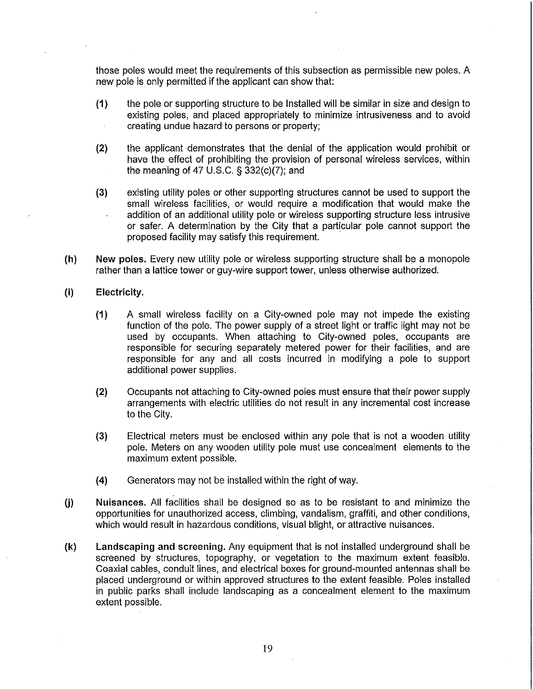those poles would meet the requirements of this subsection as permissible new poles. A new pole is only permitted if the applicant can show that:

- (1) the pole or supporting structure to be Installed will be similar in size and design to existing poles, and placed appropriately to minimize intrusiveness and to avoid creating undue hazard to persons or property;
- (2) the applicant demonstrates that the denial of the application would prohibit or have the effect of prohibiting the provision of personal wireless services, within the meaning of 47 U.S.C. § 332(c)(7); and
- (3) existing utility poles or other supporting structures cannot be used to support the small wireless facilities, or would require a modification that would make the addition of an additional utility pole or wireless supporting structure less intrusive or safer. A determination by the City that a particular pole cannot support the proposed facility may satisfy this requirement.
- (h) New poles. Every new utility pole or wireless supporting structure shall be a monopole rather than a lattice tower or guy-wire support tower, unless otherwise authorized.
- (i) Electricity.
	- (1) A small wireless facility on a City-owned pole may not impede the existing function of the pole. The power supply of a street light or traffic light may not be used by occupants. When attaching to City-owned poles, occupants are responsible for securing separately metered power for their facilities, and are responsible for any and all costs incurred in modifying a pole to support additional power supplies.
	- (2) Occupants not attaching to City-owned poles must ensure that their power supply arrangements with electric utilities do not result in any incremental cost increase to the City.
	- (3) Electrical meters must be enclosed within any pole that is not a wooden utility pole. Meters on any wooden utility pole must use concealment elements to the maximum extent possible.
	- (4) Generators may not be installed within the right of way.
- U) Nuisances. All facilities shall be designed so as to be resistant to and minimize the opportunities for unauthorized access, climbing, vandalism, graffiti, and other conditions, which would result in hazardous conditions, visual blight, or attractive nuisances.
- (k) Landscaping and screening. Any equipment that is not installed underground shall be screened by structures, topography, or vegetation to the maximum extent feasible. Coaxial cables, conduit lines, and electrical boxes for ground-mounted antennas shall be placed underground or within approved structures to the extent feasible. Poles installed in public parks shall include landscaping as a concealment element to the maximum extent possible.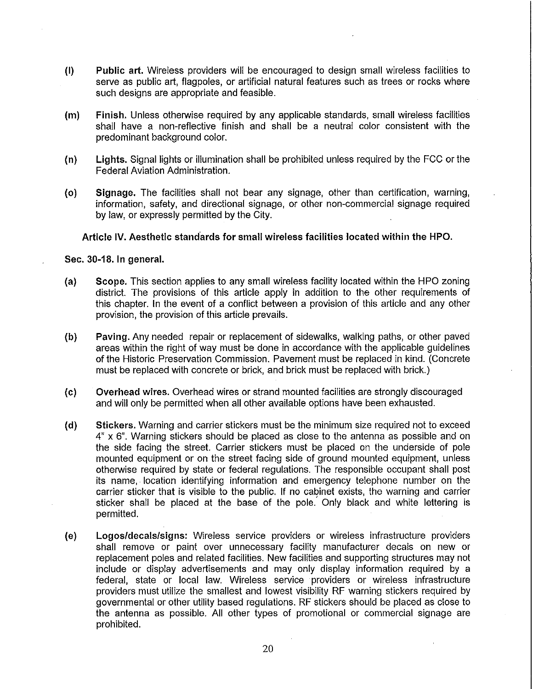- (I) Public art. Wireless providers will be encouraged to design small wireless facilities to serve as public art, flagpoles, or artificial natural features such as trees or rocks where such designs are appropriate and feasible.
- (m) Finish. Unless otherwise required by any applicable standards, small wireless facilities shall have a non-reflective finish and shall be a neutral color consistent with the predominant background color.
- (n) Lights. Signal lights or illumination shall be prohibited unless required by the FCC or the Federal Aviation Administration.
- (0) Signage. The facilities shall not bear any signage, other than certification, warning, information, safety, and directional signage, or other non-commercial signage required by law, or expressly permitted by the City.

# Article IV. Aesthetic standards for small wireless facilities located within the HPO.

# Sec. 30-18. **In** general.

- (a) Scope. This section applies to any small wireless facility located within the HPO zoning district. The provisions of this article apply in addition to the other requirements of this chapter. In the event of a conflict between a provision of this article and any other provision, the provision of this article prevails.
- (b) Paving. Any needed repair or replacement of sidewalks, walking paths, or other paved areas within the right of way must be done in accordance with the applicable guidelines of the Historic Preservation Commission. Pavement must be replaced in kind. (Concrete must be replaced with concrete or brick, and brick must be replaced with brick.)
- (c) Overhead wires. Overhead wires or strand mounted facilities are strongly discouraged and will only be permitted when all other available options have been exhausted.
- (d) Stickers. Warning and carrier stickers must be the minimum size required not to exceed 4" x 6". Warning stickers should be placed as close to the antenna as possible and on the side facing the street. Carrier stickers must be placed on the underside of pole mounted equipment or on the street facing side of ground mounted equipment, unless otherwise required by state or federal regulations. The responsible occupant shall post its name, location identifying information and emergency telephone number on the carrier sticker that is visible to the public. If no cabinet exists, the warning and carrier sticker shall be placed at the base of the pole: Only black and white lettering is permitted.
- (e) Logos/decals/signs: Wireless service providers or wireless infrastructure providers shall remove or paint over unnecessary facility manufacturer decals on new or replacement poles and related facilities. New facilities and supporting structures may not include or display advertisements and may only display information required by a federal, state or local law. Wireless service providers or wireless infrastructure providers must utilize the smallest and lowest visibility RF warning stickers required by governmental or other utility based regulations. RF stickers should be placed as close to the antenna as possible. All other types of promotional or commercial signage are prohibited.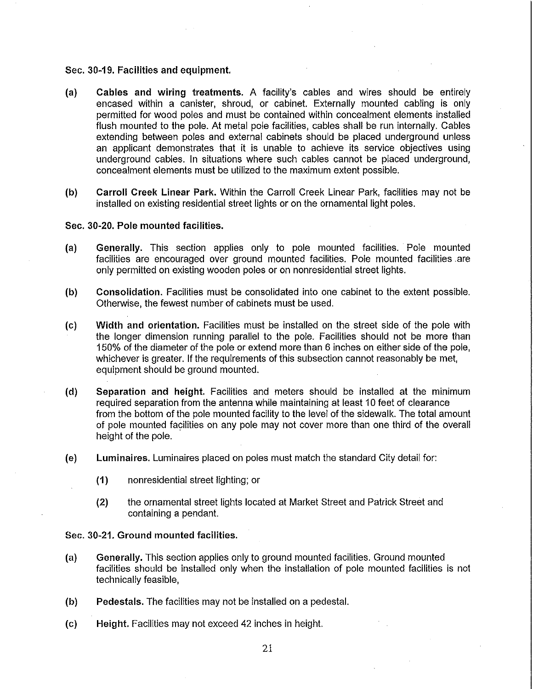### Sec. 30-19. Facilities and equipment.

- (a) Cables and wiring treatments. A facility's cables and wires should be entirely encased within a canister, shroud, or cabinet. Externally mounted cabling is only permitted for wood poles and must be contained within concealment elements installed flush mounted to the pole. At metal pole facilities, cables shall be run internally. Cables extending between poles and external cabinets should be placed underground unless an applicant demonstrates that it is unable to achieve its service objectives using underground cables. In situations where such cables cannot be placed underground, concealment elements must be utilized to the maximum extent possible.
- (b) Carroll Creek Linear Park. Within the Carroll Creek Linear Park, facilities may not be installed on existing residential street lights or on the ornamental light poles.

# Sec. 30-20. Pole mounted facilities.

- (a) Generally. This section applies only to pole mounted facilities. Pole mounted facilities are encouraged over ground mounted facilities. Pole mounted facilities are only permitted on existing wooden poles or on nonresidential street lights.
- (b) Consolidation. Facilities must be consolidated into one cabinet to the extent possible. Otherwise, the fewest number of cabinets must be used.
- (c) Width and orientation. Facilities must be installed on the street side of the pole with the longer dimension running parallel to the pole. Facilities should not be more than 150% of the diameter of the pole or extend more than 6 inches on either side of the pole, whichever is greater. If the requirements of this subsection cannot reasonably be met, equipment should be ground mounted.
- (d) Separation and height. Facilities and meters should be installed at the minimum required separation from the antenna while maintaining at least 10 feet of clearance from the bottom of the pole mounted facility to the level of the sidewalk. The total amount of pole mounted facilities on any pole may not cover more than one third of the overall height of the pole.
- (e) Luminaires. Luminaires placed on poles must match the standard City detail for:
	- (1) nonresidential street lighting; or
	- (2) the ornamental street lights located at Market Street and Patrick Street and containing a pendant.

### Sec. 30-21. Ground mounted facilities.

- (a) Generally. This section applies only to ground mounted facilities. Ground mounted facilities should be installed only when the installation of pole mounted facilities is not technically feasible,
- (b) Pedestals. The facilities may not be installed on a pedestal.
- (c) Height. Facilities may not exceed 42 inches in height.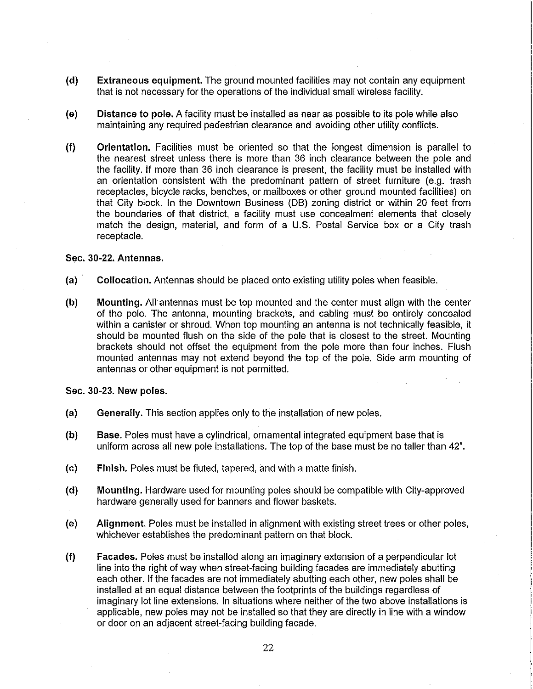- (d) Extraneous equipment. The ground mounted facilities may not contain any equipment that is not necessary for the operations of the individual small wireless facility.
- (e) Distance to pole. A facility must be installed as near as possible to its pole while also maintaining any required pedestrian clearance and avoiding other utility conflicts.
- (f) Orientation. Facilities must be oriented so that the longest dimension is parallel to the nearest street unless there is more than 36 inch clearance between the pole and the facility. If more than 36 inch clearance is present, the facility must be installed with an orientation consistent with the predominant pattern of street furniture (e.g. trash receptacles, bicycle racks, benches, or mailboxes or other ground mounted facilities) on that City block. In the Downtown Business (DB) zoning district or within 20 feet from the boundaries of that district, a facility must use concealment elements that closely match the design, material, and form of a U.S. Postal Service box or a City trash receptacle.

# Sec. 30-22. Antennas.

- (a) Collocation. Antennas should be placed onto existing utility poles when feasible.
- (b) Mounting. All antennas must be top mounted and the center must align with the center of the pole. The antenna, mounting brackets, and cabling must be entirely concealed within a canister or shroud. When top mounting an antenna is not technically feasible, it should be mounted flush on the side of the pole that is closest to the street. Mounting brackets should not offset the equipment from the pole more than four inches. Flush mounted antennas may not extend beyond the top of the pole. Side arm mounting of antennas or other equipment is not permitted.

Sec. 30-23. New poles.

- (a) Generally. This section applies only to the installation of new poles.
- (b) Base. Poles must have a cylindrical, ornamental integrated equipment base that is uniform across all new pole installations. The top of the base must be no taller than 42".
- (c) Finish. Poles must be fluted, tapered, and with a matte finish.
- (d) Mounting. Hardware used for mounting poles should be compatible with City-approved hardware generally used for banners and flower baskets.
- (e) Alignment. Poles must be installed in alignment with existing street trees or other poles, whichever establishes the predominant pattern on that block.
- (f) Facades. Poles must be installed along an imaginary extension of a perpendicular lot line into the right of way when street-facing building facades are immediately abutting each other. If the facades are not immediately abutting each other, new poles shall be installed at an equal distance between the footprints of the buildings regardless of imaginary lot line extensions. In situations where neither of the two above installations is applicable, new poles may not be installed so that they are directly in line with a window or door on an adjacent street-facing building facade.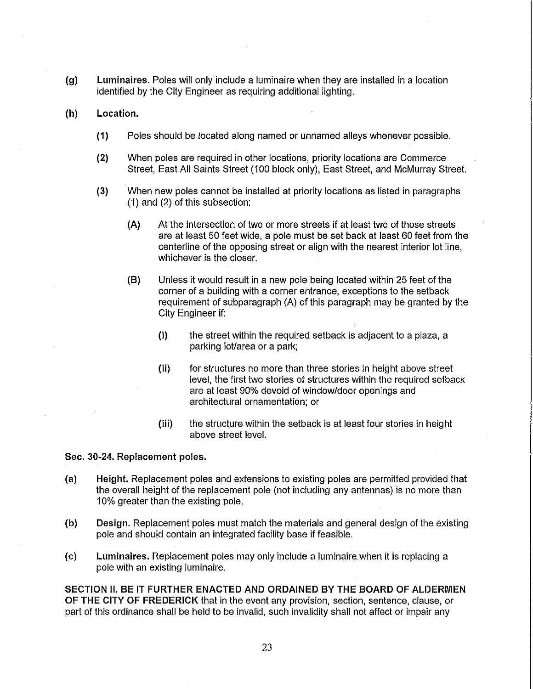- (g) Luminaires. Poles will only include a luminaire when they are installed in a location identified by the City Engineer as requiring additional lighting.
- (h) Location.
	- (1) Poles should be located along named or unnamed alleys whenever possible.
	- (2) When poles are required in other locations, priority locations are Commerce Street, East All Saints Street (100 block only), East Street, and McMurray Street.
	- (3) When new poles cannot be installed at priority locations as listed in paragraphs (1) and (2) of this subsection:
		- (A) At the intersection of two or more streets if at least two of those streets are at least 50 feet wide, a pole must be set back at least 60 feet from the centerline of the opposing street or align with the nearest interior lot line, whichever is the closer.
		- (B) Unless it would result in a new pole being located within 25 feet of the corner of a building with a corner entrance, exceptions to the setback requirement of subparagraph (A) of this paragraph may be granted by the City Engineer if:
			- (i) the street within the required setback is adjacent to a plaza, a parking lot/area or a park;
			- (ii) for structures no more than three stories in height above street level, the first two stories of structures within the required setback are at least 90% devoid of window/door openings and architectural ornamentation; or
			- (iii) the structure within the setback is at least four stories in height above street level.

# Sec. 30-24. Replacement poles.

- (a) Height. Replacement poles and extensions to existing poles are permitted provided that the overall height of the replacement pole (not including any antennas) is no more than 10% greater than the existing pole.
- (b) Design. Replacement poles must match the materials and general design of the existing pole and should contain an integrated facility base if feasible.
- (c) Luminaires. Replacement poles may only include a luminaire. when it is replacing a pole with an existing luminaire.

SECTION II. BE IT FURTHER ENACTED AND ORDAINED BY THE BOARD OF ALDERMEN OF THE CITY OF FREDERICK that in the event any provision, section, sentence, clause, or part of this ordinance shall be held to be invalid, such invalidity shall not affect or impair any